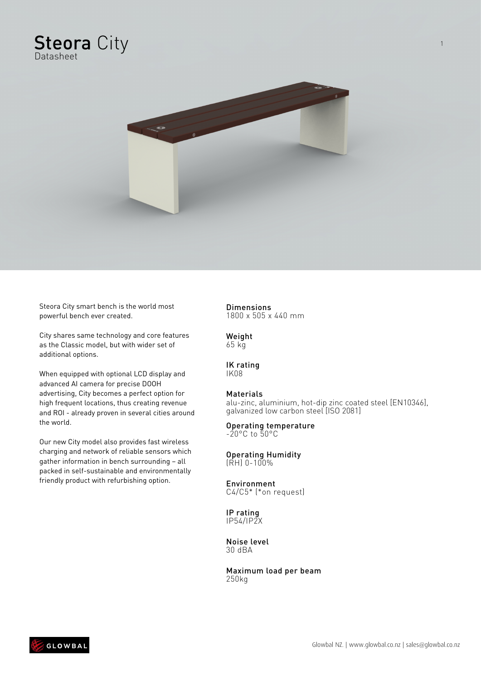



Steora City smart bench is the world most powerful bench ever created.

City shares same technology and core features as the Classic model, but with wider set of additional options.

When equipped with optional LCD display and advanced AI camera for precise DOOH advertising, City becomes a perfect option for high frequent locations, thus creating revenue and ROI - already proven in several cities around the world.

Our new City model also provides fast wireless charging and network of reliable sensors which gather information in bench surrounding – all packed in self-sustainable and environmentally friendly product with refurbishing option.

## **Dimensions**

1800 x 505 x 440 mm

Weight 65 kg

### IK rating

IK08

### Materials

alu-zinc, aluminium, hot-dip zinc coated steel [EN10346], galvanized low carbon steel [ISO 2081]

#### Operating temperature -20°C to 50°C

#### Operating Humidity (RH) 0-100%

#### Environment C4/C5\* (\*on request)

IP rating IP54/IP2X

Noise level 30 dBA

Maximum load per beam 250kg



1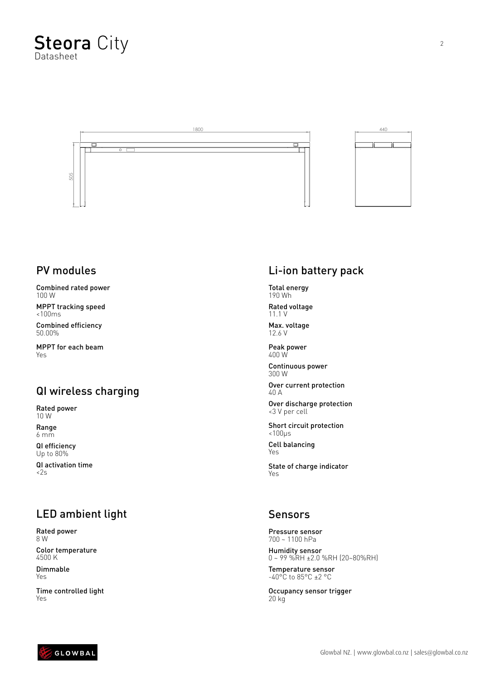

## PV modules

Combined rated power 100 W

MPPT tracking speed <100ms

Combined efficiency 50.00%

MPPT for each beam Yes

## QI wireless charging

Rated power 10 W

Range 6 mm

QI efficiency Up to 80%

QI activation time <2s

# LED ambient light

Rated power 8 W Color temperature 4500 K

Dimmable Yes

Time controlled light Yes

# Li-ion battery pack

Total energy 190 Wh

Rated voltage 11.1 V

Max. voltage 12.6 V

Peak power 400 W

Continuous power 300 W

Over current protection 40 A

Over discharge protection <3 V per cell

Short circuit protection <100μs

Cell balancing Yes

State of charge indicator Yes

### Sensors

Pressure sensor 700 ~ 1100 hPa

Humidity sensor 0 ~ 99 %RH ±2.0 %RH (20~80%RH)

Temperature sensor -40°C to 85°C ±2 °C

Occupancy sensor trigger 20 kg